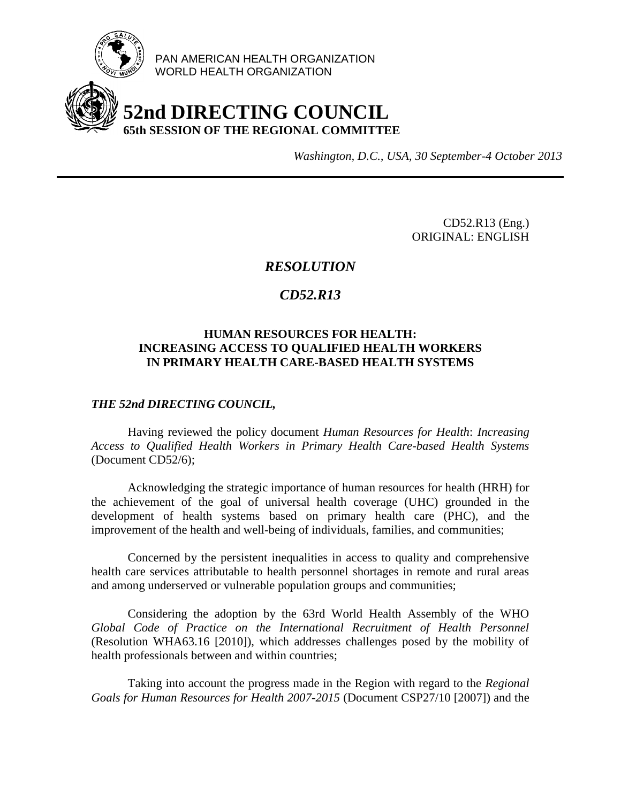

PAN AMERICAN HEALTH ORGANIZATION WORLD HEALTH ORGANIZATION

# **52nd DIRECTING COUNCIL 65th SESSION OF THE REGIONAL COMMITTEE**

*Washington, D.C., USA, 30 September-4 October 2013*

CD52.R13 (Eng.) ORIGINAL: ENGLISH

## *RESOLUTION*

## *CD52.R13*

### **HUMAN RESOURCES FOR HEALTH: INCREASING ACCESS TO QUALIFIED HEALTH WORKERS IN PRIMARY HEALTH CARE-BASED HEALTH SYSTEMS**

#### *THE 52nd DIRECTING COUNCIL,*

Having reviewed the policy document *Human Resources for Health*: *Increasing Access to Qualified Health Workers in Primary Health Care-based Health Systems* (Document CD52/6);

Acknowledging the strategic importance of human resources for health (HRH) for the achievement of the goal of universal health coverage (UHC) grounded in the development of health systems based on primary health care (PHC), and the improvement of the health and well-being of individuals, families, and communities;

Concerned by the persistent inequalities in access to quality and comprehensive health care services attributable to health personnel shortages in remote and rural areas and among underserved or vulnerable population groups and communities;

Considering the adoption by the 63rd World Health Assembly of the WHO *Global Code of Practice on the International Recruitment of Health Personnel* (Resolution WHA63.16 [2010]), which addresses challenges posed by the mobility of health professionals between and within countries;

Taking into account the progress made in the Region with regard to the *Regional Goals for Human Resources for Health 2007-2015* (Document CSP27/10 [2007]) and the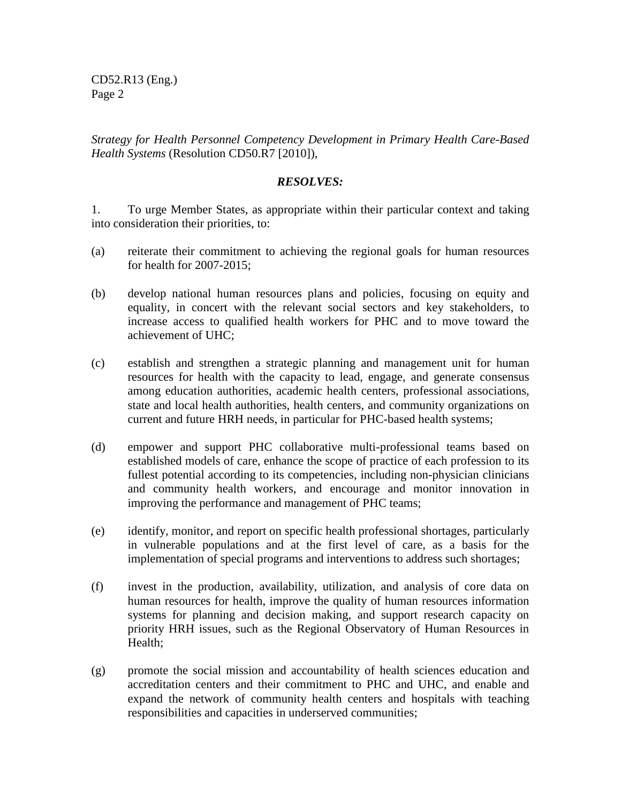CD52.R13 (Eng.) Page 2

*Strategy for Health Personnel Competency Development in Primary Health Care-Based Health Systems* (Resolution CD50.R7 [2010]),

### *RESOLVES:*

1. To urge Member States, as appropriate within their particular context and taking into consideration their priorities, to:

- (a) reiterate their commitment to achieving the regional goals for human resources for health for 2007-2015;
- (b) develop national human resources plans and policies, focusing on equity and equality, in concert with the relevant social sectors and key stakeholders, to increase access to qualified health workers for PHC and to move toward the achievement of UHC;
- (c) establish and strengthen a strategic planning and management unit for human resources for health with the capacity to lead, engage, and generate consensus among education authorities, academic health centers, professional associations, state and local health authorities, health centers, and community organizations on current and future HRH needs, in particular for PHC-based health systems;
- (d) empower and support PHC collaborative multi-professional teams based on established models of care, enhance the scope of practice of each profession to its fullest potential according to its competencies, including non-physician clinicians and community health workers, and encourage and monitor innovation in improving the performance and management of PHC teams;
- (e) identify, monitor, and report on specific health professional shortages, particularly in vulnerable populations and at the first level of care, as a basis for the implementation of special programs and interventions to address such shortages;
- (f) invest in the production, availability, utilization, and analysis of core data on human resources for health, improve the quality of human resources information systems for planning and decision making, and support research capacity on priority HRH issues, such as the Regional Observatory of Human Resources in Health;
- (g) promote the social mission and accountability of health sciences education and accreditation centers and their commitment to PHC and UHC, and enable and expand the network of community health centers and hospitals with teaching responsibilities and capacities in underserved communities;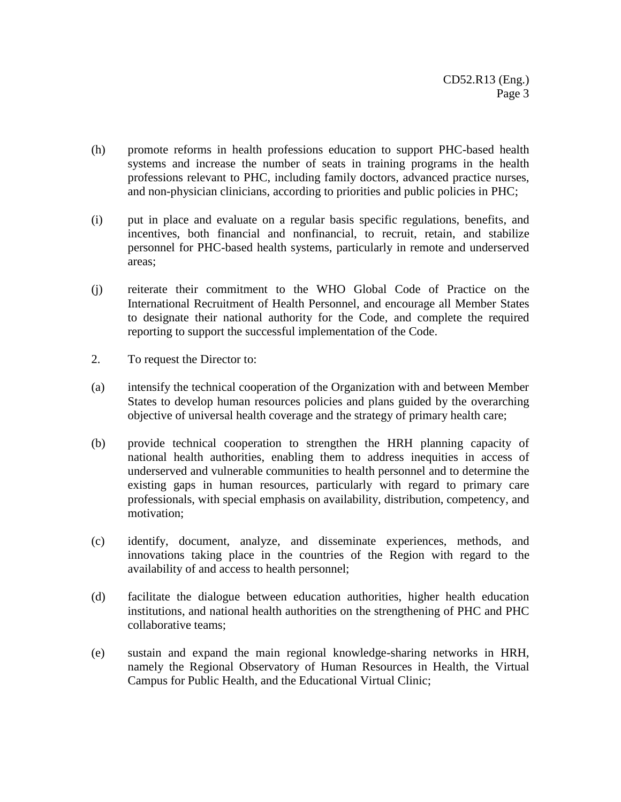- (h) promote reforms in health professions education to support PHC-based health systems and increase the number of seats in training programs in the health professions relevant to PHC, including family doctors, advanced practice nurses, and non-physician clinicians, according to priorities and public policies in PHC;
- (i) put in place and evaluate on a regular basis specific regulations, benefits, and incentives, both financial and nonfinancial, to recruit, retain, and stabilize personnel for PHC-based health systems, particularly in remote and underserved areas;
- (j) reiterate their commitment to the WHO Global Code of Practice on the International Recruitment of Health Personnel, and encourage all Member States to designate their national authority for the Code, and complete the required reporting to support the successful implementation of the Code.
- 2. To request the Director to:
- (a) intensify the technical cooperation of the Organization with and between Member States to develop human resources policies and plans guided by the overarching objective of universal health coverage and the strategy of primary health care;
- (b) provide technical cooperation to strengthen the HRH planning capacity of national health authorities, enabling them to address inequities in access of underserved and vulnerable communities to health personnel and to determine the existing gaps in human resources, particularly with regard to primary care professionals, with special emphasis on availability, distribution, competency, and motivation;
- (c) identify, document, analyze, and disseminate experiences, methods, and innovations taking place in the countries of the Region with regard to the availability of and access to health personnel;
- (d) facilitate the dialogue between education authorities, higher health education institutions, and national health authorities on the strengthening of PHC and PHC collaborative teams;
- (e) sustain and expand the main regional knowledge-sharing networks in HRH, namely the Regional Observatory of Human Resources in Health, the Virtual Campus for Public Health, and the Educational Virtual Clinic;